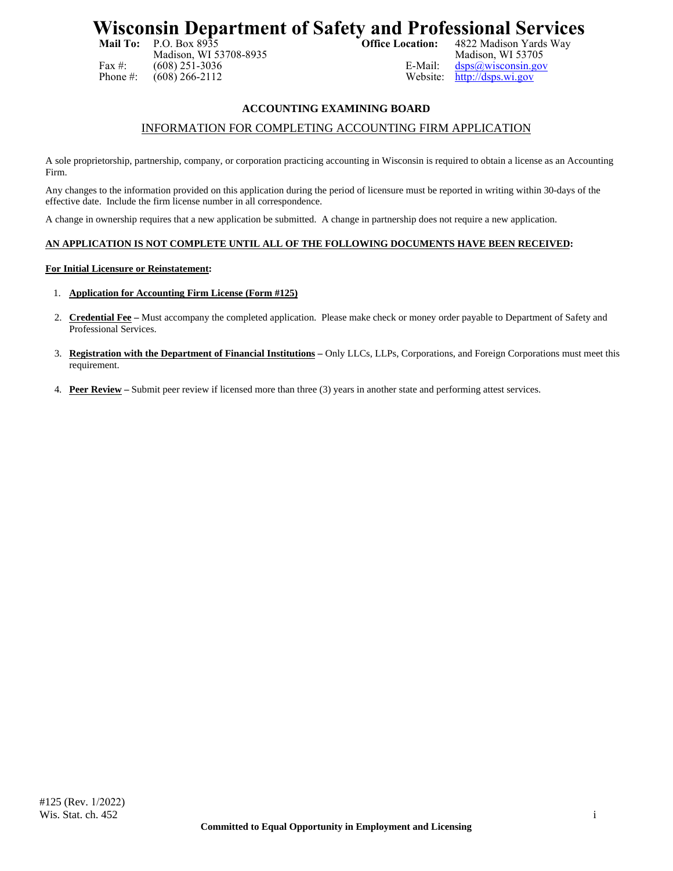# **Wisconsin Department of Safety and Professional Services**<br>Mail To: P.O. Box 8935<br>office Location: 4822 Madison Yards Way

Madison, WI 53708-8935 Fax #:  $(608)$  251-3036<br>Phone #:  $(608)$  266-2112  $(608)$  266-2112

**4822 Madison Yards Way** Madison, WI 53705 E-Mail: dsps@wisconsin.gov<br>Website: http://dsps.wi.gov http://dsps.wi.gov

## **ACCOUNTING EXAMINING BOARD**

### INFORMATION FOR COMPLETING ACCOUNTING FIRM APPLICATION

A sole proprietorship, partnership, company, or corporation practicing accounting in Wisconsin is required to obtain a license as an Accounting Firm.

Any changes to the information provided on this application during the period of licensure must be reported in writing within 30-days of the effective date. Include the firm license number in all correspondence.

A change in ownership requires that a new application be submitted. A change in partnership does not require a new application.

### **AN APPLICATION IS NOT COMPLETE UNTIL ALL OF THE FOLLOWING DOCUMENTS HAVE BEEN RECEIVED:**

#### **For Initial Licensure or Reinstatement:**

- 1. **Application for Accounting Firm License (Form #125)**
- 2. **Credential Fee** Must accompany the completed application. Please make check or money order payable to Department of Safety and Professional Services.
- 3. **Registration with the Department of Financial Institutions** Only LLCs, LLPs, Corporations, and Foreign Corporations must meet this requirement.
- 4. **Peer Review –** Submit peer review if licensed more than three (3) years in another state and performing attest services.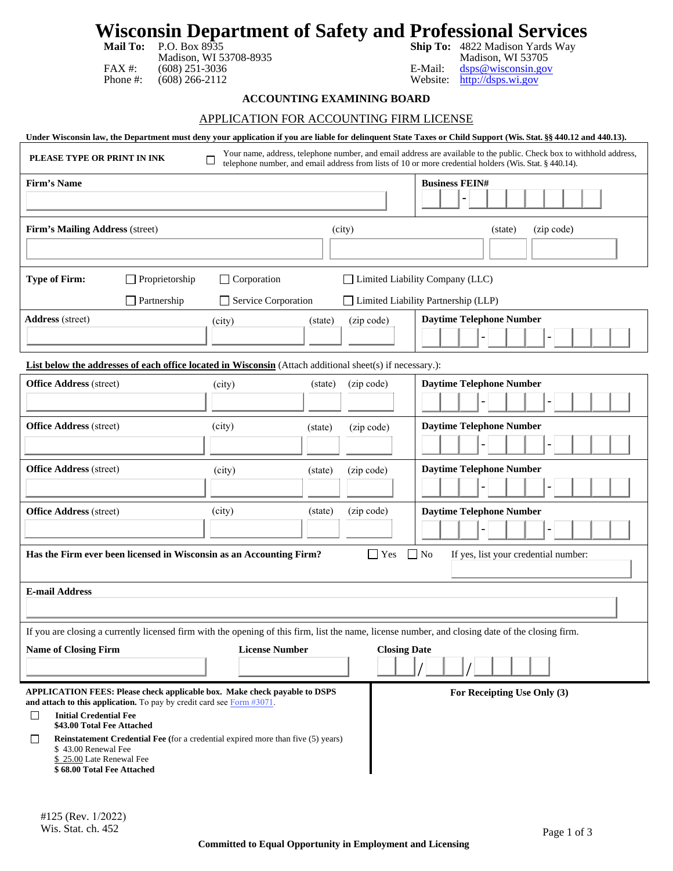# **Wisconsin Department of Safety and Professional Services**

FAX #: (608) 251-3036 E-Mail: dsps@wisconsin.gov Phone #: (608) 266-2112 Website: http://dsps.wi.gov

**Mail To:** P.O. Box 8935 **Ship To:** 4822 Madison Yards Way Madison, WI 53708-8935 Madison, WI 53705

### **ACCOUNTING EXAMINING BOARD**

#### APPLICATION FOR ACCOUNTING FIRM LICENSE

| PLEASE TYPE OR PRINT IN INK                                                                                                                                 |                                                                                                                                                                                                                                                         |                                           |         |                     | Under Wisconsin law, the Department must deny your application if you are liable for delinguent State Taxes or Child Support (Wis. Stat. §§ 440.12 and 440.13).<br>Your name, address, telephone number, and email address are available to the public. Check box to withhold address, |
|-------------------------------------------------------------------------------------------------------------------------------------------------------------|---------------------------------------------------------------------------------------------------------------------------------------------------------------------------------------------------------------------------------------------------------|-------------------------------------------|---------|---------------------|----------------------------------------------------------------------------------------------------------------------------------------------------------------------------------------------------------------------------------------------------------------------------------------|
| <b>Firm's Name</b>                                                                                                                                          |                                                                                                                                                                                                                                                         | $\Box$                                    |         |                     | telephone number, and email address from lists of 10 or more credential holders (Wis. Stat. § 440.14).<br><b>Business FEIN#</b>                                                                                                                                                        |
| Firm's Mailing Address (street)                                                                                                                             |                                                                                                                                                                                                                                                         |                                           | (city)  |                     | (zip code)<br>(state)                                                                                                                                                                                                                                                                  |
| <b>Type of Firm:</b>                                                                                                                                        | $\Box$ Proprietorship<br>$\Box$ Partnership                                                                                                                                                                                                             | $\Box$ Corporation<br>Service Corporation |         |                     | Limited Liability Company (LLC)<br>□ Limited Liability Partnership (LLP)                                                                                                                                                                                                               |
| <b>Address</b> (street)                                                                                                                                     |                                                                                                                                                                                                                                                         | (city)                                    | (state) | (zip code)          | <b>Daytime Telephone Number</b>                                                                                                                                                                                                                                                        |
|                                                                                                                                                             | <b>List below the addresses of each office located in Wisconsin</b> (Attach additional sheet(s) if necessary.):                                                                                                                                         |                                           |         |                     |                                                                                                                                                                                                                                                                                        |
| <b>Office Address (street)</b>                                                                                                                              |                                                                                                                                                                                                                                                         | (city)                                    | (state) | (zip code)          | <b>Daytime Telephone Number</b>                                                                                                                                                                                                                                                        |
| <b>Office Address (street)</b>                                                                                                                              |                                                                                                                                                                                                                                                         | (city)                                    | (state) | (zip code)          | <b>Daytime Telephone Number</b>                                                                                                                                                                                                                                                        |
| <b>Office Address (street)</b>                                                                                                                              |                                                                                                                                                                                                                                                         | (city)                                    | (state) | (zip code)          | <b>Daytime Telephone Number</b>                                                                                                                                                                                                                                                        |
| <b>Office Address (street)</b>                                                                                                                              |                                                                                                                                                                                                                                                         | (city)                                    | (state) | (zip code)          | <b>Daytime Telephone Number</b>                                                                                                                                                                                                                                                        |
|                                                                                                                                                             | Has the Firm ever been licensed in Wisconsin as an Accounting Firm?                                                                                                                                                                                     |                                           |         | Yes<br>$\mathsf{L}$ | $\Box$ No<br>If yes, list your credential number:                                                                                                                                                                                                                                      |
| <b>E-mail Address</b>                                                                                                                                       |                                                                                                                                                                                                                                                         |                                           |         |                     |                                                                                                                                                                                                                                                                                        |
| <b>Name of Closing Firm</b>                                                                                                                                 |                                                                                                                                                                                                                                                         | <b>License Number</b>                     |         | <b>Closing Date</b> | If you are closing a currently licensed firm with the opening of this firm, list the name, license number, and closing date of the closing firm.                                                                                                                                       |
| <b>Initial Credential Fee</b><br>$\Box$<br>\$43.00 Total Fee Attached<br>ப<br>\$43.00 Renewal Fee<br>\$25.00 Late Renewal Fee<br>\$68.00 Total Fee Attached | <b>APPLICATION FEES: Please check applicable box. Make check payable to DSPS</b><br>and attach to this application. To pay by credit card see Form $#3071$ .<br><b>Reinstatement Credential Fee</b> (for a credential expired more than five (5) years) |                                           |         |                     | For Receipting Use Only (3)                                                                                                                                                                                                                                                            |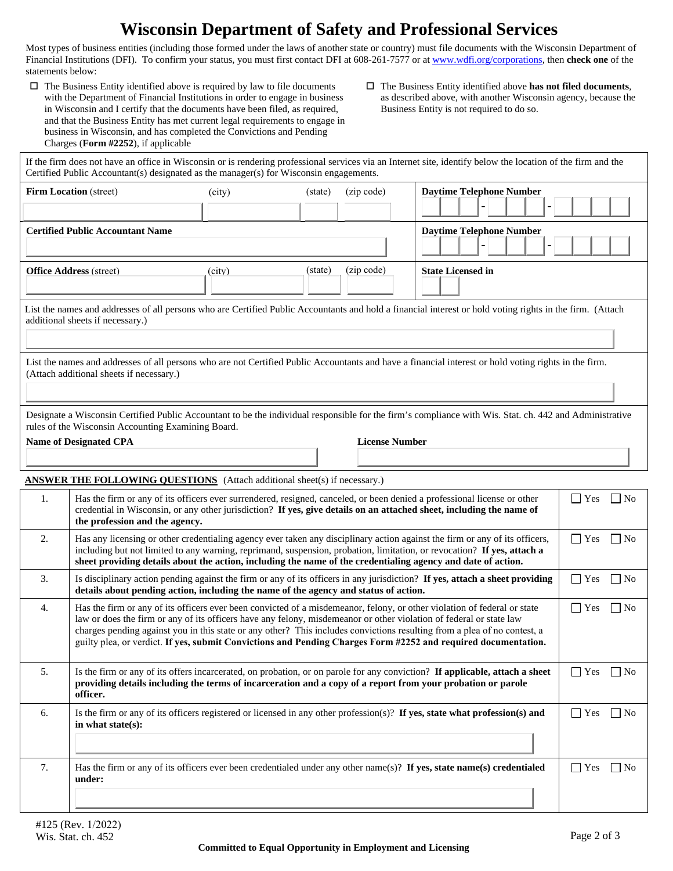# **Wisconsin Department of Safety and Professional Services**

Most types of business entities (including those formed under the laws of another state or country) must file documents with the Wisconsin Department of Financial Institutions (DFI). To confirm your status, you must first contact DFI at 608-261-7577 or at www.wdfi.org/corporations, then **check one** of the statements below:

- $\Box$  The Business Entity identified above is required by law to file documents with the Department of Financial Institutions in order to engage in business in Wisconsin and I certify that the documents have been filed, as required, and that the Business Entity has met current legal requirements to engage in business in Wisconsin, and has completed the Convictions and Pending Charges (**Form #2252**), if applicable
- The Business Entity identified above **has not filed documents**, as described above, with another Wisconsin agency, because the Business Entity is not required to do so.

| If the firm does not have an office in Wisconsin or is rendering professional services via an Internet site, identify below the location of the firm and the<br>Certified Public Accountant(s) designated as the manager(s) for Wisconsin engagements. |                                                                                                                                                                                                                                                                                                                                                                                                                                                                                                                          |        |         |                       |                                                                                                                                                           |                         |  |  |  |
|--------------------------------------------------------------------------------------------------------------------------------------------------------------------------------------------------------------------------------------------------------|--------------------------------------------------------------------------------------------------------------------------------------------------------------------------------------------------------------------------------------------------------------------------------------------------------------------------------------------------------------------------------------------------------------------------------------------------------------------------------------------------------------------------|--------|---------|-----------------------|-----------------------------------------------------------------------------------------------------------------------------------------------------------|-------------------------|--|--|--|
| <b>Firm Location</b> (street)                                                                                                                                                                                                                          |                                                                                                                                                                                                                                                                                                                                                                                                                                                                                                                          | (city) | (state) | (zip code)            | <b>Daytime Telephone Number</b>                                                                                                                           |                         |  |  |  |
|                                                                                                                                                                                                                                                        |                                                                                                                                                                                                                                                                                                                                                                                                                                                                                                                          |        |         |                       |                                                                                                                                                           |                         |  |  |  |
|                                                                                                                                                                                                                                                        | <b>Certified Public Accountant Name</b><br><b>Daytime Telephone Number</b>                                                                                                                                                                                                                                                                                                                                                                                                                                               |        |         |                       |                                                                                                                                                           |                         |  |  |  |
|                                                                                                                                                                                                                                                        | (zip code)<br><b>Office Address (street)</b><br>(city)<br>(state)<br><b>State Licensed in</b>                                                                                                                                                                                                                                                                                                                                                                                                                            |        |         |                       |                                                                                                                                                           |                         |  |  |  |
|                                                                                                                                                                                                                                                        | additional sheets if necessary.)                                                                                                                                                                                                                                                                                                                                                                                                                                                                                         |        |         |                       | List the names and addresses of all persons who are Certified Public Accountants and hold a financial interest or hold voting rights in the firm. (Attach |                         |  |  |  |
|                                                                                                                                                                                                                                                        |                                                                                                                                                                                                                                                                                                                                                                                                                                                                                                                          |        |         |                       |                                                                                                                                                           |                         |  |  |  |
|                                                                                                                                                                                                                                                        | (Attach additional sheets if necessary.)                                                                                                                                                                                                                                                                                                                                                                                                                                                                                 |        |         |                       | List the names and addresses of all persons who are not Certified Public Accountants and have a financial interest or hold voting rights in the firm.     |                         |  |  |  |
|                                                                                                                                                                                                                                                        |                                                                                                                                                                                                                                                                                                                                                                                                                                                                                                                          |        |         |                       |                                                                                                                                                           |                         |  |  |  |
|                                                                                                                                                                                                                                                        | rules of the Wisconsin Accounting Examining Board.                                                                                                                                                                                                                                                                                                                                                                                                                                                                       |        |         |                       | Designate a Wisconsin Certified Public Accountant to be the individual responsible for the firm's compliance with Wis. Stat. ch. 442 and Administrative   |                         |  |  |  |
|                                                                                                                                                                                                                                                        | <b>Name of Designated CPA</b>                                                                                                                                                                                                                                                                                                                                                                                                                                                                                            |        |         | <b>License Number</b> |                                                                                                                                                           |                         |  |  |  |
|                                                                                                                                                                                                                                                        |                                                                                                                                                                                                                                                                                                                                                                                                                                                                                                                          |        |         |                       |                                                                                                                                                           |                         |  |  |  |
|                                                                                                                                                                                                                                                        | <b>ANSWER THE FOLLOWING QUESTIONS</b> (Attach additional sheet(s) if necessary.)                                                                                                                                                                                                                                                                                                                                                                                                                                         |        |         |                       |                                                                                                                                                           |                         |  |  |  |
| 1.                                                                                                                                                                                                                                                     | Has the firm or any of its officers ever surrendered, resigned, canceled, or been denied a professional license or other<br>$\Box$ Yes<br>  No<br>credential in Wisconsin, or any other jurisdiction? If yes, give details on an attached sheet, including the name of<br>the profession and the agency.                                                                                                                                                                                                                 |        |         |                       |                                                                                                                                                           |                         |  |  |  |
| 2.                                                                                                                                                                                                                                                     | Has any licensing or other credentialing agency ever taken any disciplinary action against the firm or any of its officers,<br>$\Gamma$ Yes<br>$\vert$ No<br>including but not limited to any warning, reprimand, suspension, probation, limitation, or revocation? If yes, attach a<br>sheet providing details about the action, including the name of the credentialing agency and date of action.                                                                                                                     |        |         |                       |                                                                                                                                                           |                         |  |  |  |
| 3.                                                                                                                                                                                                                                                     | Is disciplinary action pending against the firm or any of its officers in any jurisdiction? If yes, attach a sheet providing<br>$\Box$ Yes<br>$\vert$ No<br>details about pending action, including the name of the agency and status of action.                                                                                                                                                                                                                                                                         |        |         |                       |                                                                                                                                                           |                         |  |  |  |
| 4.                                                                                                                                                                                                                                                     | Has the firm or any of its officers ever been convicted of a misdemeanor, felony, or other violation of federal or state<br>$\Box$ Yes<br>$\Box$ No<br>law or does the firm or any of its officers have any felony, misdemeanor or other violation of federal or state law<br>charges pending against you in this state or any other? This includes convictions resulting from a plea of no contest, a<br>guilty plea, or verdict. If yes, submit Convictions and Pending Charges Form #2252 and required documentation. |        |         |                       |                                                                                                                                                           |                         |  |  |  |
| 5.                                                                                                                                                                                                                                                     | Is the firm or any of its offers incarcerated, on probation, or on parole for any conviction? If applicable, attach a sheet<br>$\Gamma$ Yes<br>$\vert$ No<br>providing details including the terms of incarceration and a copy of a report from your probation or parole<br>officer.                                                                                                                                                                                                                                     |        |         |                       |                                                                                                                                                           |                         |  |  |  |
| 6.                                                                                                                                                                                                                                                     | Is the firm or any of its officers registered or licensed in any other profession(s)? If yes, state what profession(s) and<br>$\Gamma$ Yes<br>$\Box$ No<br>in what state $(s)$ :                                                                                                                                                                                                                                                                                                                                         |        |         |                       |                                                                                                                                                           |                         |  |  |  |
| 7.                                                                                                                                                                                                                                                     | under:                                                                                                                                                                                                                                                                                                                                                                                                                                                                                                                   |        |         |                       | Has the firm or any of its officers ever been credentialed under any other name(s)? If yes, state name(s) credentialed                                    | $\Box$ Yes<br>$\Box$ No |  |  |  |